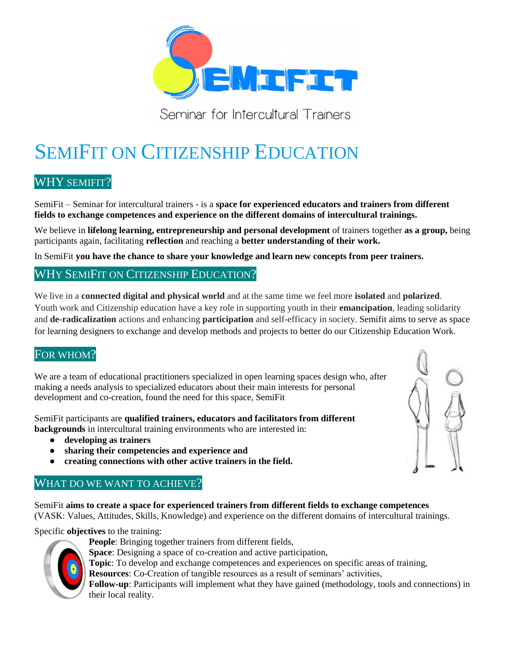

Seminar for Intercultural Trainers

# SEMIFIT ON CITIZENSHIP EDUCATION

# WHY SEMIFIT?

SemiFit – Seminar for intercultural trainers - is a **space for experienced educators and trainers from different fields to exchange competences and experience on the different domains of intercultural trainings.**

We believe in **lifelong learning, entrepreneurship and personal development** of trainers together **as a group,** being participants again, facilitating **reflection** and reaching a **better understanding of their work.**

In SemiFit **you have the chance to share your knowledge and learn new concepts from peer trainers.**

## WHY SEMIFIT ON CITIZENSHIP EDUCATION?

We live in a **connected digital and physical world** and at the same time we feel more **isolated** and **polarized**. Youth work and Citizenship education have a key role in supporting youth in their **emancipation**, leading solidarity and **de-radicalization** actions and enhancing **participation** and self-efficacy in society. Semifit aims to serve as space for learning designers to exchange and develop methods and projects to better do our Citizenship Education Work.

## FOR WHOM?

We are a team of educational practitioners specialized in open learning spaces design who, after making a needs analysis to specialized educators about their main interests for personal development and co-creation, found the need for this space, SemiFit

SemiFit participants are **qualified trainers, educators and facilitators from different backgrounds** in intercultural training environments who are interested in:

- **● developing as trainers**
- **● sharing their competencies and experience and**
- **● creating connections with other active trainers in the field.**

## WHAT DO WE WANT TO ACHIEVE?

SemiFit **aims to create a space for experienced trainers from different fields to exchange competences**  (VASK: Values, Attitudes, Skills, Knowledge) and experience on the different domains of intercultural trainings.

Specific **objectives** to the training:



- **People**: Bringing together trainers from different fields,
- **Space**: Designing a space of co-creation and active participation,
- **Topic**: To develop and exchange competences and experiences on specific areas of training,
- **Resources**: Co-Creation of tangible resources as a result of seminars' activities,

**Follow-up**: Participants will implement what they have gained (methodology, tools and connections) in their local reality.

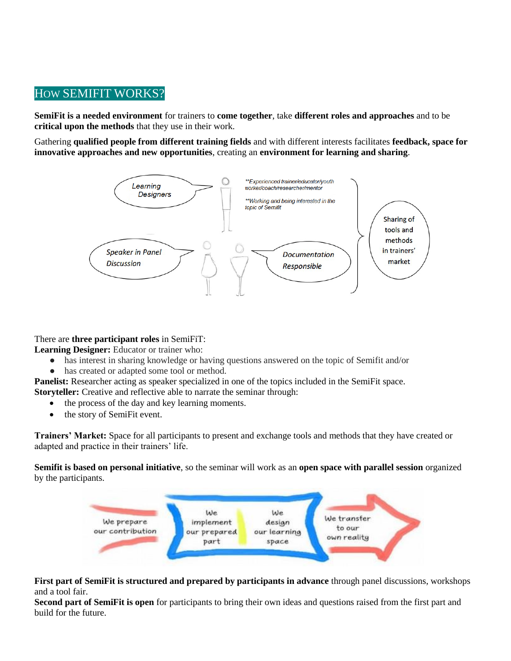# HOW SEMIFIT WORKS?

**SemiFit is a needed environment** for trainers to **come together**, take **different roles and approaches** and to be **critical upon the methods** that they use in their work.

Gathering **qualified people from different training fields** and with different interests facilitates **feedback, space for innovative approaches and new opportunities**, creating an **environment for learning and sharing**.



There are **three participant roles** in SemiFiT:

**Learning Designer:** Educator or trainer who:

- has interest in sharing knowledge or having questions answered on the topic of Semifit and/or
- has created or adapted some tool or method.

**Panelist:** Researcher acting as speaker specialized in one of the topics included in the SemiFit space. **Storyteller:** Creative and reflective able to narrate the seminar through:

- the process of the day and key learning moments.
- the story of SemiFit event.

**Trainers' Market:** Space for all participants to present and exchange tools and methods that they have created or adapted and practice in their trainers' life.

**Semifit is based on personal initiative**, so the seminar will work as an **open space with parallel session** organized by the participants.



#### **First part of SemiFit is structured and prepared by participants in advance** through panel discussions, workshops and a tool fair.

**Second part of SemiFit is open** for participants to bring their own ideas and questions raised from the first part and build for the future.